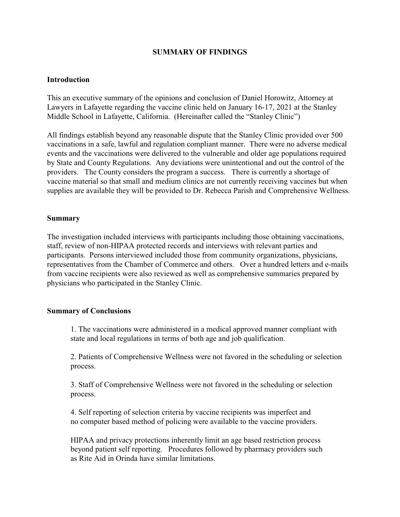## **SUMMARY OF FINDINGS**

### **Introduction**

This an executive summary of the opinions and conclusion of Daniel Horowitz, Attorney at Lawyers in Lafayette regarding the vaccine clinic held on January 16-17, 2021 at the Stanley Middle School in Lafayette, California. (Hereinafter called the "Stanley Clinic")

All findings establish beyond any reasonable dispute that the Stanley Clinic provided over 500 vaccinations in a safe, lawful and regulation compliant manner. There were no adverse medical events and the vaccinations were delivered to the vulnerable and older age populations required by State and County Regulations. Any deviations were unintentional and out the control of the providers. The County considers the program a success. There is currently a shortage of vaccine material so that small and medium clinics are not currently receiving vaccines but when supplies are available they will be provided to Dr. Rebecca Parish and Comprehensive Wellness.

#### **Summary**

The investigation included interviews with participants including those obtaining vaccinations, staff, review of non-HIPAA protected records and interviews with relevant parties and participants. Persons interviewed included those from community organizations, physicians, representatives from the Chamber of Commerce and others. Over a hundred letters and e-mails from vaccine recipients were also reviewed as well as comprehensive summaries prepared by physicians who participated in the Stanley Clinic.

### **Summary of Conclusions**

1. The vaccinations were administered in a medical approved manner compliant with state and local regulations in terms of both age and job qualification.

2. Patients of Comprehensive Wellness were not favored in the scheduling or selection process.

3. Staff of Comprehensive Wellness were not favored in the scheduling or selection process.

4. Self reporting of selection criteria by vaccine recipients was imperfect and no computer based method of policing were available to the vaccine providers.

HIPAA and privacy protections inherently limit an age based restriction process beyond patient self reporting. Procedures followed by pharmacy providers such as Rite Aid in Orinda have similar limitations.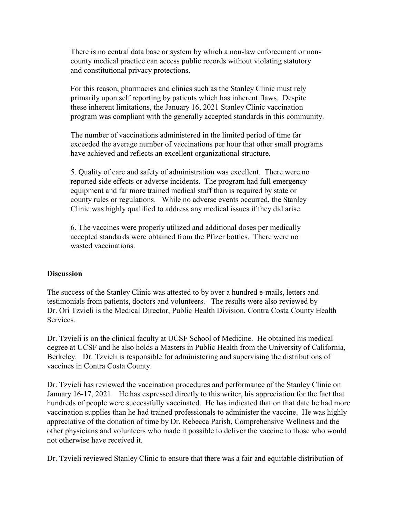There is no central data base or system by which a non-law enforcement or noncounty medical practice can access public records without violating statutory and constitutional privacy protections.

For this reason, pharmacies and clinics such as the Stanley Clinic must rely primarily upon self reporting by patients which has inherent flaws. Despite these inherent limitations, the January 16, 2021 Stanley Clinic vaccination program was compliant with the generally accepted standards in this community.

The number of vaccinations administered in the limited period of time far exceeded the average number of vaccinations per hour that other small programs have achieved and reflects an excellent organizational structure.

5. Quality of care and safety of administration was excellent. There were no reported side effects or adverse incidents. The program had full emergency equipment and far more trained medical staff than is required by state or county rules or regulations. While no adverse events occurred, the Stanley Clinic was highly qualified to address any medical issues if they did arise.

6. The vaccines were properly utilized and additional doses per medically accepted standards were obtained from the Pfizer bottles. There were no wasted vaccinations.

### **Discussion**

The success of the Stanley Clinic was attested to by over a hundred e-mails, letters and testimonials from patients, doctors and volunteers. The results were also reviewed by Dr. Ori Tzvieli is the Medical Director, Public Health Division, Contra Costa County Health Services.

Dr. Tzvieli is on the clinical faculty at UCSF School of Medicine. He obtained his medical degree at UCSF and he also holds a Masters in Public Health from the University of California, Berkeley. Dr. Tzvieli is responsible for administering and supervising the distributions of vaccines in Contra Costa County.

Dr. Tzvieli has reviewed the vaccination procedures and performance of the Stanley Clinic on January 16-17, 2021. He has expressed directly to this writer, his appreciation for the fact that hundreds of people were successfully vaccinated. He has indicated that on that date he had more vaccination supplies than he had trained professionals to administer the vaccine. He was highly appreciative of the donation of time by Dr. Rebecca Parish, Comprehensive Wellness and the other physicians and volunteers who made it possible to deliver the vaccine to those who would not otherwise have received it.

Dr. Tzvieli reviewed Stanley Clinic to ensure that there was a fair and equitable distribution of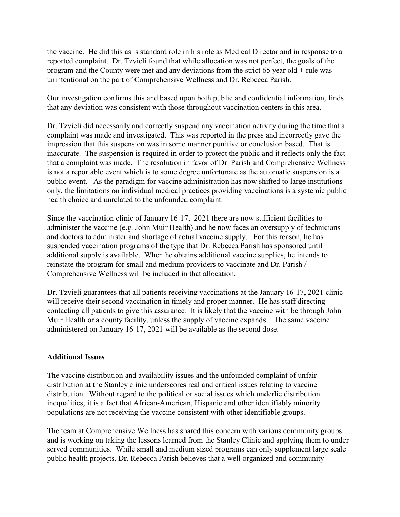the vaccine. He did this as is standard role in his role as Medical Director and in response to a reported complaint. Dr. Tzvieli found that while allocation was not perfect, the goals of the program and the County were met and any deviations from the strict 65 year old + rule was unintentional on the part of Comprehensive Wellness and Dr. Rebecca Parish.

Our investigation confirms this and based upon both public and confidential information, finds that any deviation was consistent with those throughout vaccination centers in this area.

Dr. Tzvieli did necessarily and correctly suspend any vaccination activity during the time that a complaint was made and investigated. This was reported in the press and incorrectly gave the impression that this suspension was in some manner punitive or conclusion based. That is inaccurate. The suspension is required in order to protect the public and it reflects only the fact that a complaint was made. The resolution in favor of Dr. Parish and Comprehensive Wellness is not a reportable event which is to some degree unfortunate as the automatic suspension is a public event. As the paradigm for vaccine administration has now shifted to large institutions only, the limitations on individual medical practices providing vaccinations is a systemic public health choice and unrelated to the unfounded complaint.

Since the vaccination clinic of January 16-17, 2021 there are now sufficient facilities to administer the vaccine (e.g. John Muir Health) and he now faces an oversupply of technicians and doctors to administer and shortage of actual vaccine supply. For this reason, he has suspended vaccination programs of the type that Dr. Rebecca Parish has sponsored until additional supply is available. When he obtains additional vaccine supplies, he intends to reinstate the program for small and medium providers to vaccinate and Dr. Parish / Comprehensive Wellness will be included in that allocation.

Dr. Tzvieli guarantees that all patients receiving vaccinations at the January 16-17, 2021 clinic will receive their second vaccination in timely and proper manner. He has staff directing contacting all patients to give this assurance. It is likely that the vaccine with be through John Muir Health or a county facility, unless the supply of vaccine expands. The same vaccine administered on January 16-17, 2021 will be available as the second dose.

# **Additional Issues**

The vaccine distribution and availability issues and the unfounded complaint of unfair distribution at the Stanley clinic underscores real and critical issues relating to vaccine distribution. Without regard to the political or social issues which underlie distribution inequalities, it is a fact that African-American, Hispanic and other identifiably minority populations are not receiving the vaccine consistent with other identifiable groups.

The team at Comprehensive Wellness has shared this concern with various community groups and is working on taking the lessons learned from the Stanley Clinic and applying them to under served communities. While small and medium sized programs can only supplement large scale public health projects, Dr. Rebecca Parish believes that a well organized and community